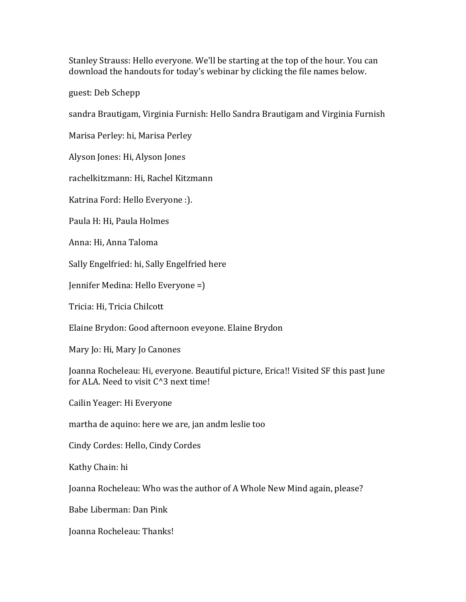Stanley Strauss: Hello everyone. We'll be starting at the top of the hour. You can download the handouts for today's webinar by clicking the file names below.

guest: Deb Schepp

sandra Brautigam, Virginia Furnish: Hello Sandra Brautigam and Virginia Furnish

Marisa Perley: hi, Marisa Perley

Alyson Jones: Hi, Alyson Jones

rachelkitzmann: Hi, Rachel Kitzmann

Katrina Ford: Hello Everyone :).

Paula H: Hi, Paula Holmes

Anna: Hi, Anna Taloma

Sally Engelfried: hi, Sally Engelfried here

Jennifer Medina: Hello Everyone =)

Tricia: Hi, Tricia Chilcott

Elaine Brydon: Good afternoon eveyone. Elaine Brydon

Mary Jo: Hi, Mary Jo Canones

Joanna Rocheleau: Hi, everyone. Beautiful picture, Erica!! Visited SF this past June for ALA. Need to visit  $C^3$  next time!

Cailin Yeager: Hi Everyone

martha de aquino: here we are, jan andm leslie too

Cindy Cordes: Hello, Cindy Cordes

Kathy Chain: hi

Joanna Rocheleau: Who was the author of A Whole New Mind again, please?

Babe Liberman: Dan Pink

Joanna Rocheleau: Thanks!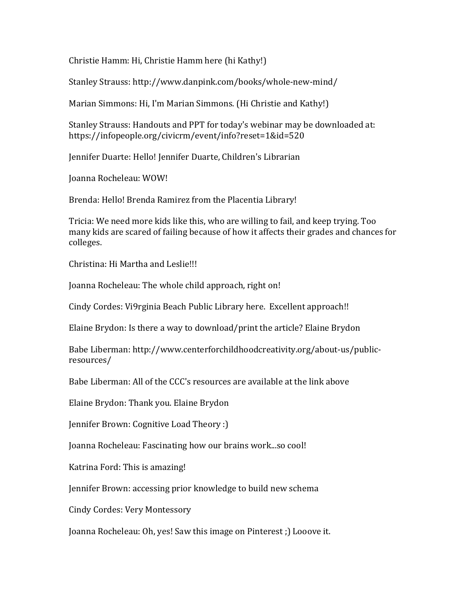Christie Hamm: Hi, Christie Hamm here (hi Kathy!)

Stanley Strauss: http://www.danpink.com/books/whole-new-mind/

Marian Simmons: Hi, I'm Marian Simmons. (Hi Christie and Kathy!)

Stanley Strauss: Handouts and PPT for today's webinar may be downloaded at: https://infopeople.org/civicrm/event/info?reset=1&id=520

Jennifer Duarte: Hello! Jennifer Duarte, Children's Librarian

Joanna Rocheleau: WOW!

Brenda: Hello! Brenda Ramirez from the Placentia Library!

Tricia: We need more kids like this, who are willing to fail, and keep trying. Too many kids are scared of failing because of how it affects their grades and chances for colleges.

Christina: Hi Martha and Leslie!!!

Joanna Rocheleau: The whole child approach, right on!

Cindy Cordes: Vi9rginia Beach Public Library here. Excellent approach!!

Elaine Brydon: Is there a way to download/print the article? Elaine Brydon

Babe Liberman: http://www.centerforchildhoodcreativity.org/about-us/publicresources/

Babe Liberman: All of the CCC's resources are available at the link above

Elaine Brydon: Thank you. Elaine Brydon

Jennifer Brown: Cognitive Load Theory :)

Joanna Rocheleau: Fascinating how our brains work...so cool!

Katrina Ford: This is amazing!

Jennifer Brown: accessing prior knowledge to build new schema

Cindy Cordes: Very Montessory

Joanna Rocheleau: Oh, yes! Saw this image on Pinterest; ) Looove it.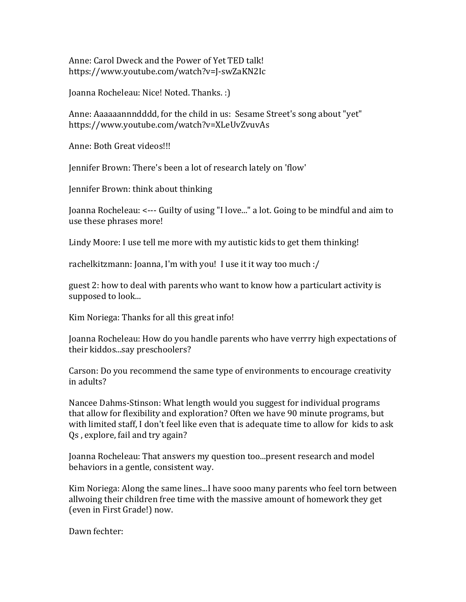Anne: Carol Dweck and the Power of Yet TED talk! https://www.youtube.com/watch?v=J-swZaKN2Ic

Joanna Rocheleau: Nice! Noted. Thanks. :)

Anne: Aaaaaannndddd, for the child in us: Sesame Street's song about "yet" https://www.youtube.com/watch?v=XLeUvZvuvAs 

Anne: Both Great videos!!!

Jennifer Brown: There's been a lot of research lately on 'flow'

Jennifer Brown: think about thinking

Joanna Rocheleau: <--- Guilty of using "I love..." a lot. Going to be mindful and aim to use these phrases more!

Lindy Moore: I use tell me more with my autistic kids to get them thinking!

rachelkitzmann: Joanna, I'm with you! I use it it way too much :/

guest 2: how to deal with parents who want to know how a particulart activity is supposed to look...

Kim Noriega: Thanks for all this great info!

Joanna Rocheleau: How do you handle parents who have verrry high expectations of their kiddos...say preschoolers?

Carson: Do you recommend the same type of environments to encourage creativity in adults?

Nancee Dahms-Stinson: What length would you suggest for individual programs that allow for flexibility and exploration? Often we have 90 minute programs, but with limited staff, I don't feel like even that is adequate time to allow for kids to ask Qs, explore, fail and try again?

Joanna Rocheleau: That answers my question too...present research and model behaviors in a gentle, consistent way.

Kim Noriega: Along the same lines...I have sooo many parents who feel torn between allwoing their children free time with the massive amount of homework they get (even in First Grade!) now.

Dawn fechter: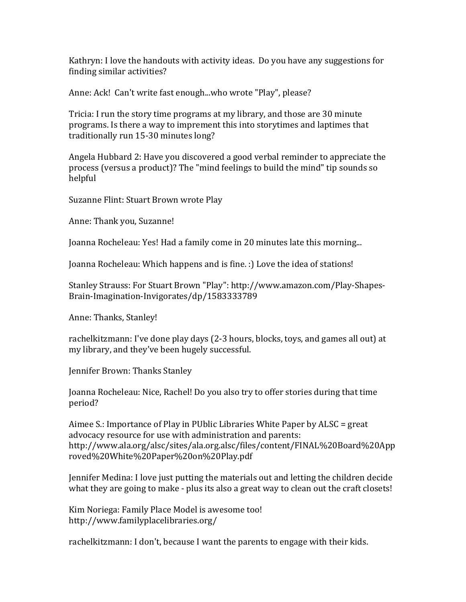Kathryn: I love the handouts with activity ideas. Do you have any suggestions for finding similar activities?

Anne: Ack! Can't write fast enough...who wrote "Play", please?

Tricia: I run the story time programs at my library, and those are 30 minute programs. Is there a way to imprement this into storytimes and laptimes that traditionally run 15-30 minutes long?

Angela Hubbard 2: Have you discovered a good verbal reminder to appreciate the process (versus a product)? The "mind feelings to build the mind" tip sounds so helpful

Suzanne Flint: Stuart Brown wrote Play

Anne: Thank you, Suzanne!

Joanna Rocheleau: Yes! Had a family come in 20 minutes late this morning...

Joanna Rocheleau: Which happens and is fine. :) Love the idea of stations!

Stanley Strauss: For Stuart Brown "Play": http://www.amazon.com/Play-Shapes-Brain-Imagination-Invigorates/dp/1583333789

Anne: Thanks, Stanley!

rachelkitzmann: I've done play days (2-3 hours, blocks, toys, and games all out) at my library, and they've been hugely successful.

Jennifer Brown: Thanks Stanley

Joanna Rocheleau: Nice, Rachel! Do you also try to offer stories during that time period?

Aimee S.: Importance of Play in PUblic Libraries White Paper by ALSC = great advocacy resource for use with administration and parents: http://www.ala.org/alsc/sites/ala.org.alsc/files/content/FINAL%20Board%20App roved%20White%20Paper%20on%20Play.pdf

Jennifer Medina: I love just putting the materials out and letting the children decide what they are going to make - plus its also a great way to clean out the craft closets!

Kim Noriega: Family Place Model is awesome too! http://www.familyplacelibraries.org/

rachelkitzmann: I don't, because I want the parents to engage with their kids.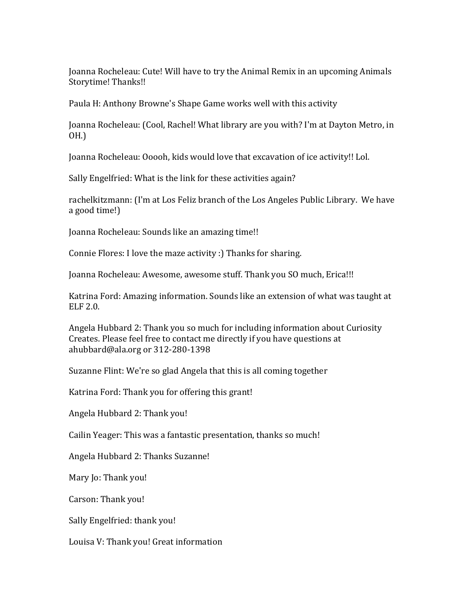Joanna Rocheleau: Cute! Will have to try the Animal Remix in an upcoming Animals Storytime! Thanks!!

Paula H: Anthony Browne's Shape Game works well with this activity

Joanna Rocheleau: (Cool, Rachel! What library are you with? I'm at Dayton Metro, in OH.)

Joanna Rocheleau: Ooooh, kids would love that excavation of ice activity!! Lol.

Sally Engelfried: What is the link for these activities again?

rachelkitzmann: (I'm at Los Feliz branch of the Los Angeles Public Library. We have a good time!)

Joanna Rocheleau: Sounds like an amazing time!!

Connie Flores: I love the maze activity :) Thanks for sharing.

Joanna Rocheleau: Awesome, awesome stuff. Thank you SO much, Erica!!!

Katrina Ford: Amazing information. Sounds like an extension of what was taught at ELF 2.0.

Angela Hubbard 2: Thank you so much for including information about Curiosity Creates. Please feel free to contact me directly if you have questions at ahubbard@ala.org or 312-280-1398

Suzanne Flint: We're so glad Angela that this is all coming together

Katrina Ford: Thank you for offering this grant!

Angela Hubbard 2: Thank you!

Cailin Yeager: This was a fantastic presentation, thanks so much!

Angela Hubbard 2: Thanks Suzanne!

Mary Io: Thank you!

Carson: Thank you!

Sally Engelfried: thank you!

Louisa V: Thank you! Great information